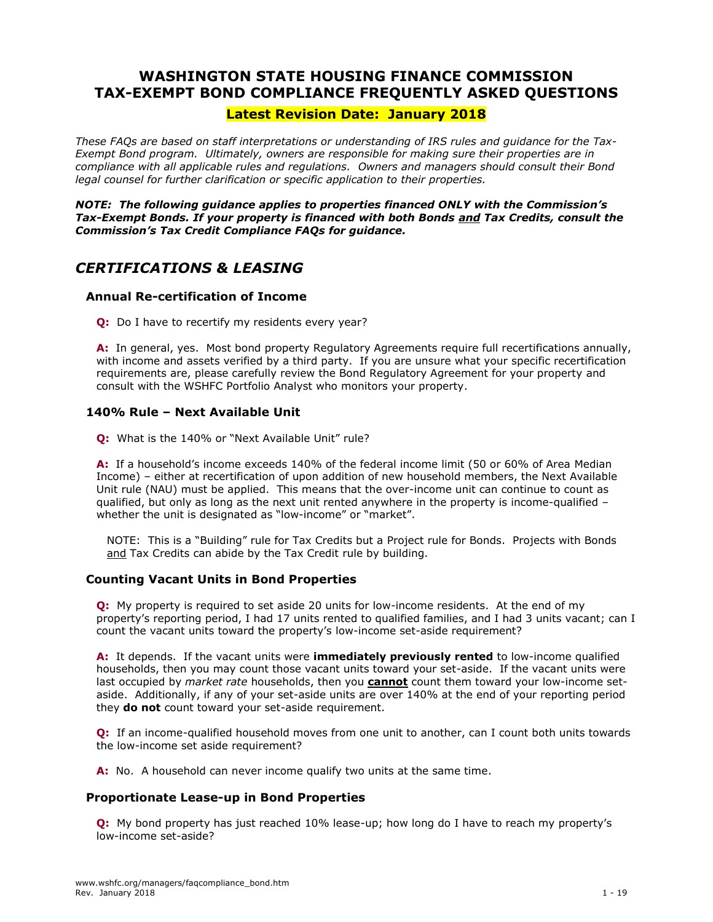# **WASHINGTON STATE HOUSING FINANCE COMMISSION TAX-EXEMPT BOND COMPLIANCE FREQUENTLY ASKED QUESTIONS**

# **Latest Revision Date: January 2018**

*These FAQs are based on staff interpretations or understanding of IRS rules and guidance for the Tax-Exempt Bond program. Ultimately, owners are responsible for making sure their properties are in compliance with all applicable rules and regulations. Owners and managers should consult their Bond legal counsel for further clarification or specific application to their properties.*

*NOTE: The following guidance applies to properties financed ONLY with the Commission's Tax-Exempt Bonds. If your property is financed with both Bonds and Tax Credits, consult the Commission's Tax Credit Compliance FAQs for guidance.* 

# *CERTIFICATIONS & LEASING*

# **Annual Re-certification of Income**

**Q:** Do I have to recertify my residents every year?

**A:** In general, yes. Most bond property Regulatory Agreements require full recertifications annually, with income and assets verified by a third party. If you are unsure what your specific recertification requirements are, please carefully review the Bond Regulatory Agreement for your property and consult with the WSHFC Portfolio Analyst who monitors your property.

# **140% Rule – Next Available Unit**

**Q:** What is the 140% or "Next Available Unit" rule?

**A:** If a household's income exceeds 140% of the federal income limit (50 or 60% of Area Median Income) – either at recertification of upon addition of new household members, the Next Available Unit rule (NAU) must be applied. This means that the over-income unit can continue to count as qualified, but only as long as the next unit rented anywhere in the property is income-qualified – whether the unit is designated as "low-income" or "market".

NOTE: This is a "Building" rule for Tax Credits but a Project rule for Bonds. Projects with Bonds and Tax Credits can abide by the Tax Credit rule by building.

# **Counting Vacant Units in Bond Properties**

**Q:** My property is required to set aside 20 units for low-income residents. At the end of my property's reporting period, I had 17 units rented to qualified families, and I had 3 units vacant; can I count the vacant units toward the property's low-income set-aside requirement?

**A:** It depends. If the vacant units were **immediately previously rented** to low-income qualified households, then you may count those vacant units toward your set-aside. If the vacant units were last occupied by *market rate* households, then you **cannot** count them toward your low-income setaside. Additionally, if any of your set-aside units are over 140% at the end of your reporting period they **do not** count toward your set-aside requirement.

**Q:** If an income-qualified household moves from one unit to another, can I count both units towards the low-income set aside requirement?

**A:** No. A household can never income qualify two units at the same time.

# **Proportionate Lease-up in Bond Properties**

**Q:** My bond property has just reached 10% lease-up; how long do I have to reach my property's low-income set-aside?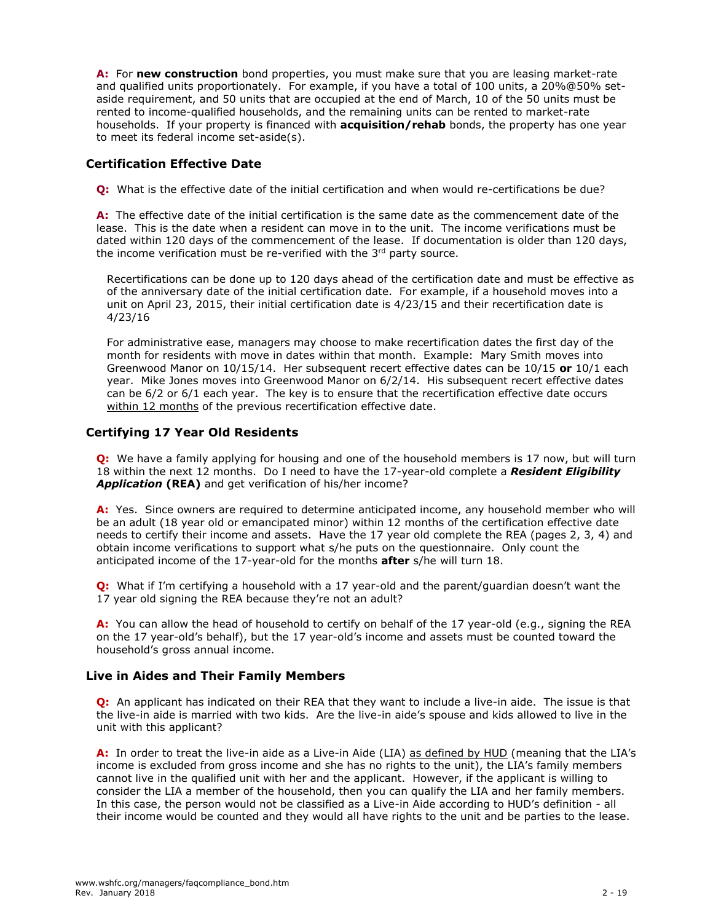**A:** For **new construction** bond properties, you must make sure that you are leasing market-rate and qualified units proportionately. For example, if you have a total of 100 units, a 20%@50% setaside requirement, and 50 units that are occupied at the end of March, 10 of the 50 units must be rented to income-qualified households, and the remaining units can be rented to market-rate households. If your property is financed with **acquisition/rehab** bonds, the property has one year to meet its federal income set-aside(s).

# **Certification Effective Date**

**Q:** What is the effective date of the initial certification and when would re-certifications be due?

**A:** The effective date of the initial certification is the same date as the commencement date of the lease. This is the date when a resident can move in to the unit. The income verifications must be dated within 120 days of the commencement of the lease. If documentation is older than 120 days, the income verification must be re-verified with the 3<sup>rd</sup> party source.

Recertifications can be done up to 120 days ahead of the certification date and must be effective as of the anniversary date of the initial certification date. For example, if a household moves into a unit on April 23, 2015, their initial certification date is 4/23/15 and their recertification date is 4/23/16

For administrative ease, managers may choose to make recertification dates the first day of the month for residents with move in dates within that month. Example: Mary Smith moves into Greenwood Manor on 10/15/14. Her subsequent recert effective dates can be 10/15 **or** 10/1 each year. Mike Jones moves into Greenwood Manor on 6/2/14. His subsequent recert effective dates can be 6/2 or 6/1 each year. The key is to ensure that the recertification effective date occurs within 12 months of the previous recertification effective date.

# **Certifying 17 Year Old Residents**

**Q:** We have a family applying for housing and one of the household members is 17 now, but will turn 18 within the next 12 months. Do I need to have the 17-year-old complete a *Resident Eligibility*  **Application (REA)** and get verification of his/her income?

**A:** Yes. Since owners are required to determine anticipated income, any household member who will be an adult (18 year old or emancipated minor) within 12 months of the certification effective date needs to certify their income and assets. Have the 17 year old complete the REA (pages 2, 3, 4) and obtain income verifications to support what s/he puts on the questionnaire. Only count the anticipated income of the 17-year-old for the months **after** s/he will turn 18.

**Q:** What if I'm certifying a household with a 17 year-old and the parent/guardian doesn't want the 17 year old signing the REA because they're not an adult?

**A:** You can allow the head of household to certify on behalf of the 17 year-old (e.g., signing the REA on the 17 year-old's behalf), but the 17 year-old's income and assets must be counted toward the household's gross annual income.

# **Live in Aides and Their Family Members**

**Q:** An applicant has indicated on their REA that they want to include a live-in aide. The issue is that the live-in aide is married with two kids. Are the live-in aide's spouse and kids allowed to live in the unit with this applicant?

**A:** In order to treat the live-in aide as a Live-in Aide (LIA) as defined by HUD (meaning that the LIA's income is excluded from gross income and she has no rights to the unit), the LIA's family members cannot live in the qualified unit with her and the applicant. However, if the applicant is willing to consider the LIA a member of the household, then you can qualify the LIA and her family members. In this case, the person would not be classified as a Live-in Aide according to HUD's definition - all their income would be counted and they would all have rights to the unit and be parties to the lease.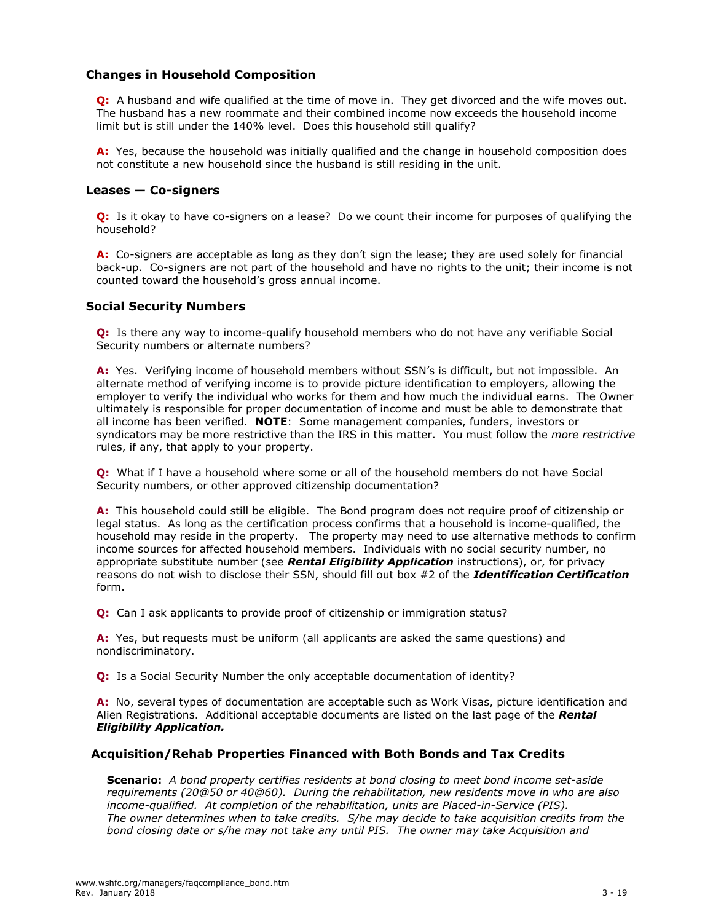# **Changes in Household Composition**

**Q:** A husband and wife qualified at the time of move in. They get divorced and the wife moves out. The husband has a new roommate and their combined income now exceeds the household income limit but is still under the 140% level. Does this household still qualify?

**A:** Yes, because the household was initially qualified and the change in household composition does not constitute a new household since the husband is still residing in the unit.

# **Leases — Co-signers**

**Q:** Is it okay to have co-signers on a lease? Do we count their income for purposes of qualifying the household?

**A:** Co-signers are acceptable as long as they don't sign the lease; they are used solely for financial back-up. Co-signers are not part of the household and have no rights to the unit; their income is not counted toward the household's gross annual income.

#### **Social Security Numbers**

**Q:** Is there any way to income-qualify household members who do not have any verifiable Social Security numbers or alternate numbers?

**A:** Yes. Verifying income of household members without SSN's is difficult, but not impossible. An alternate method of verifying income is to provide picture identification to employers, allowing the employer to verify the individual who works for them and how much the individual earns. The Owner ultimately is responsible for proper documentation of income and must be able to demonstrate that all income has been verified. **NOTE**: Some management companies, funders, investors or syndicators may be more restrictive than the IRS in this matter. You must follow the *more restrictive* rules, if any, that apply to your property.

**Q:** What if I have a household where some or all of the household members do not have Social Security numbers, or other approved citizenship documentation?

**A:** This household could still be eligible. The Bond program does not require proof of citizenship or legal status. As long as the certification process confirms that a household is income-qualified, the household may reside in the property. The property may need to use alternative methods to confirm income sources for affected household members. Individuals with no social security number, no appropriate substitute number (see *Rental Eligibility Application* instructions), or, for privacy reasons do not wish to disclose their SSN, should fill out box #2 of the *Identification Certification* form.

**Q:** Can I ask applicants to provide proof of citizenship or immigration status?

**A:** Yes, but requests must be uniform (all applicants are asked the same questions) and nondiscriminatory.

**Q:** Is a Social Security Number the only acceptable documentation of identity?

**A:** No, several types of documentation are acceptable such as Work Visas, picture identification and Alien Registrations. Additional acceptable documents are listed on the last page of the *Rental Eligibility Application.* 

#### **Acquisition/Rehab Properties Financed with Both Bonds and Tax Credits**

**Scenario:** *A bond property certifies residents at bond closing to meet bond income set-aside requirements (20@50 or 40@60). During the rehabilitation, new residents move in who are also income-qualified. At completion of the rehabilitation, units are Placed-in-Service (PIS). The owner determines when to take credits. S/he may decide to take acquisition credits from the bond closing date or s/he may not take any until PIS. The owner may take Acquisition and*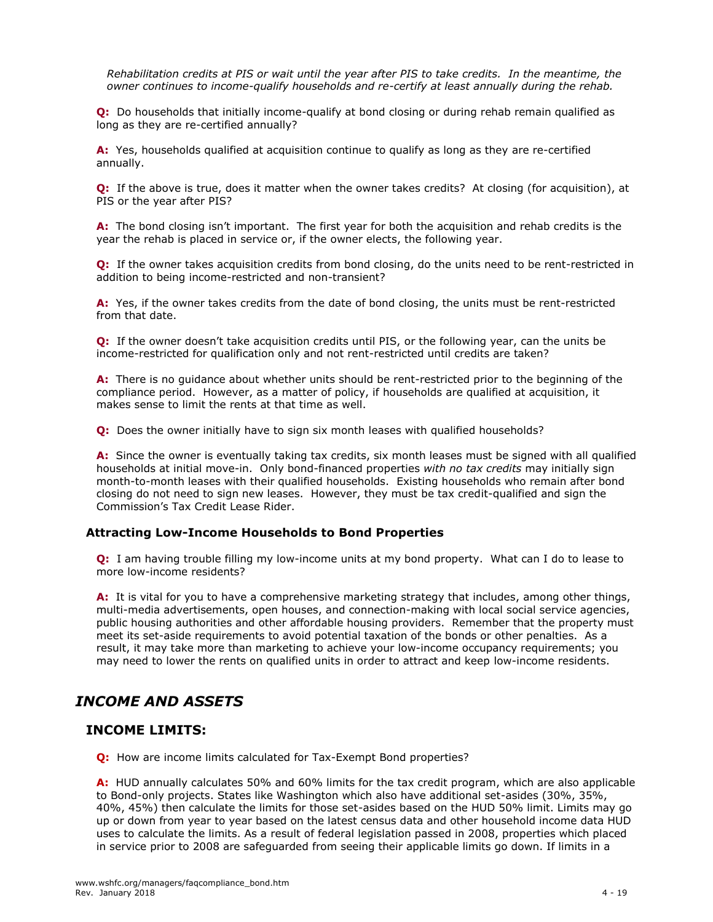*Rehabilitation credits at PIS or wait until the year after PIS to take credits. In the meantime, the owner continues to income-qualify households and re-certify at least annually during the rehab.*

**Q:** Do households that initially income-qualify at bond closing or during rehab remain qualified as long as they are re-certified annually?

**A:** Yes, households qualified at acquisition continue to qualify as long as they are re-certified annually.

**Q:** If the above is true, does it matter when the owner takes credits? At closing (for acquisition), at PIS or the year after PIS?

**A:** The bond closing isn't important. The first year for both the acquisition and rehab credits is the year the rehab is placed in service or, if the owner elects, the following year.

**Q:** If the owner takes acquisition credits from bond closing, do the units need to be rent-restricted in addition to being income-restricted and non-transient?

**A:** Yes, if the owner takes credits from the date of bond closing, the units must be rent-restricted from that date.

**Q:** If the owner doesn't take acquisition credits until PIS, or the following year, can the units be income-restricted for qualification only and not rent-restricted until credits are taken?

**A:** There is no guidance about whether units should be rent-restricted prior to the beginning of the compliance period. However, as a matter of policy, if households are qualified at acquisition, it makes sense to limit the rents at that time as well.

**Q:** Does the owner initially have to sign six month leases with qualified households?

A: Since the owner is eventually taking tax credits, six month leases must be signed with all qualified households at initial move-in. Only bond-financed properties *with no tax credits* may initially sign month-to-month leases with their qualified households. Existing households who remain after bond closing do not need to sign new leases. However, they must be tax credit-qualified and sign the Commission's Tax Credit Lease Rider.

#### **Attracting Low-Income Households to Bond Properties**

**Q:** I am having trouble filling my low-income units at my bond property. What can I do to lease to more low-income residents?

**A:** It is vital for you to have a comprehensive marketing strategy that includes, among other things, multi-media advertisements, open houses, and connection-making with local social service agencies, public housing authorities and other affordable housing providers. Remember that the property must meet its set-aside requirements to avoid potential taxation of the bonds or other penalties. As a result, it may take more than marketing to achieve your low-income occupancy requirements; you may need to lower the rents on qualified units in order to attract and keep low-income residents.

# *INCOME AND ASSETS*

# **INCOME LIMITS:**

**Q:** How are income limits calculated for Tax-Exempt Bond properties?

**A:** HUD annually calculates 50% and 60% limits for the tax credit program, which are also applicable to Bond-only projects. States like Washington which also have additional set-asides (30%, 35%, 40%, 45%) then calculate the limits for those set-asides based on the HUD 50% limit. Limits may go up or down from year to year based on the latest census data and other household income data HUD uses to calculate the limits. As a result of federal legislation passed in 2008, properties which placed in service prior to 2008 are safeguarded from seeing their applicable limits go down. If limits in a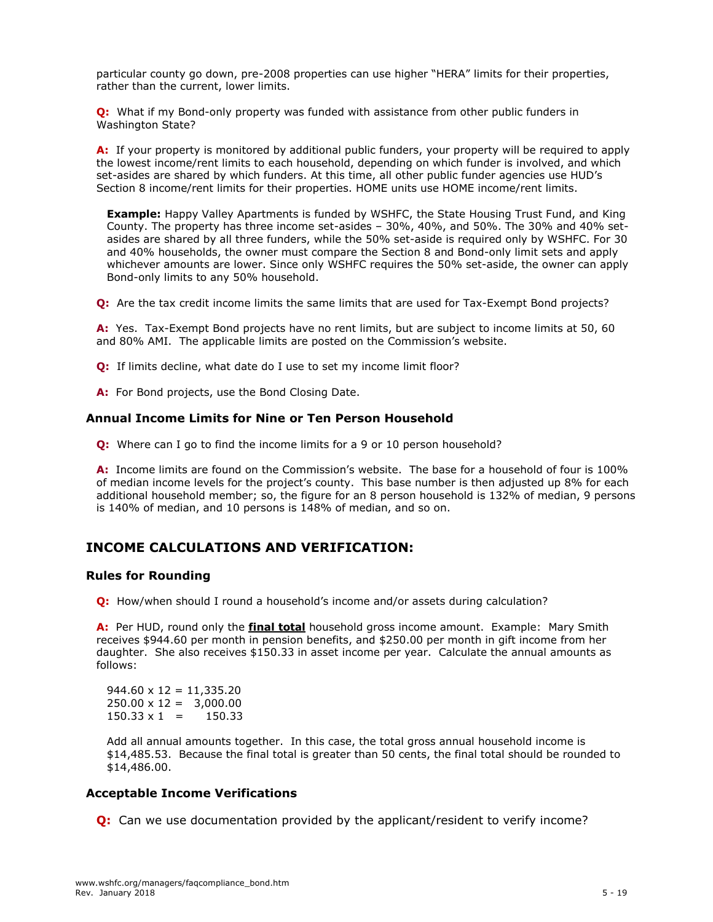particular county go down, pre-2008 properties can use higher "HERA" limits for their properties, rather than the current, lower limits.

**Q:** What if my Bond-only property was funded with assistance from other public funders in Washington State?

**A:** If your property is monitored by additional public funders, your property will be required to apply the lowest income/rent limits to each household, depending on which funder is involved, and which set-asides are shared by which funders. At this time, all other public funder agencies use HUD's Section 8 income/rent limits for their properties. HOME units use HOME income/rent limits.

**Example:** Happy Valley Apartments is funded by WSHFC, the State Housing Trust Fund, and King County. The property has three income set-asides – 30%, 40%, and 50%. The 30% and 40% setasides are shared by all three funders, while the 50% set-aside is required only by WSHFC. For 30 and 40% households, the owner must compare the Section 8 and Bond-only limit sets and apply whichever amounts are lower. Since only WSHFC requires the 50% set-aside, the owner can apply Bond-only limits to any 50% household.

**Q:** Are the tax credit income limits the same limits that are used for Tax-Exempt Bond projects?

**A:** Yes. Tax-Exempt Bond projects have no rent limits, but are subject to income limits at 50, 60 and 80% AMI. The applicable limits are posted on the Commission's website.

**Q:** If limits decline, what date do I use to set my income limit floor?

A: For Bond projects, use the Bond Closing Date.

#### **Annual Income Limits for Nine or Ten Person Household**

**Q:** Where can I go to find the income limits for a 9 or 10 person household?

**A:** Income limits are found on the Commission's website. The base for a household of four is 100% of median income levels for the project's county. This base number is then adjusted up 8% for each additional household member; so, the figure for an 8 person household is 132% of median, 9 persons is 140% of median, and 10 persons is 148% of median, and so on.

# **INCOME CALCULATIONS AND VERIFICATION:**

#### **Rules for Rounding**

**Q:** How/when should I round a household's income and/or assets during calculation?

**A:** Per HUD, round only the **final total** household gross income amount. Example: Mary Smith receives \$944.60 per month in pension benefits, and \$250.00 per month in gift income from her daughter. She also receives \$150.33 in asset income per year. Calculate the annual amounts as follows:

 $944.60 \times 12 = 11,335.20$  $250.00 \times 12 = 3,000.00$  $150.33 \times 1 = 150.33$ 

Add all annual amounts together. In this case, the total gross annual household income is \$14,485.53. Because the final total is greater than 50 cents, the final total should be rounded to \$14,486.00.

### **Acceptable Income Verifications**

**Q:** Can we use documentation provided by the applicant/resident to verify income?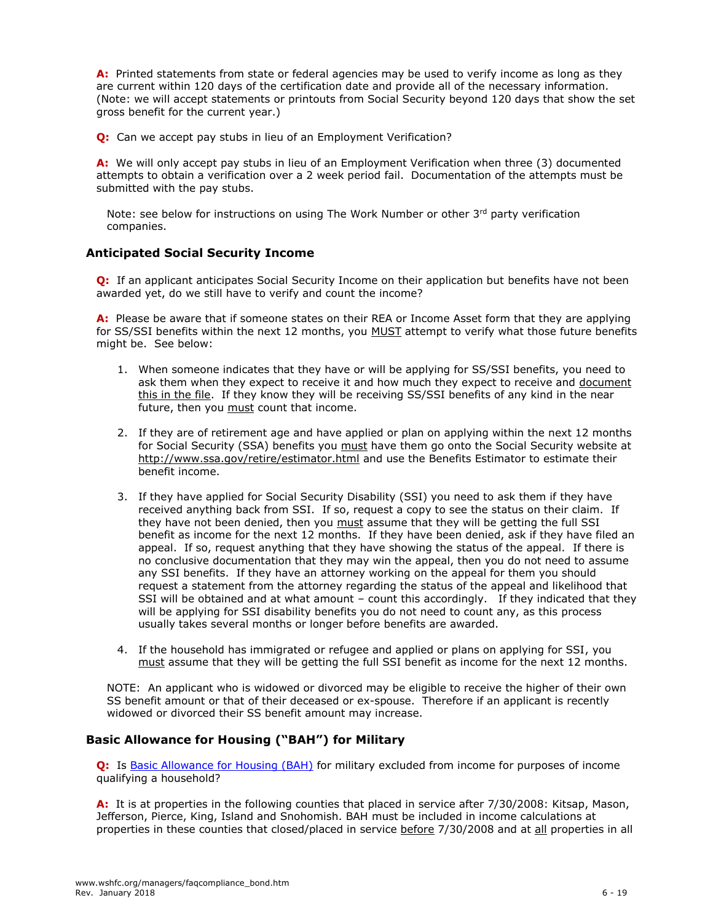**A:** Printed statements from state or federal agencies may be used to verify income as long as they are current within 120 days of the certification date and provide all of the necessary information. (Note: we will accept statements or printouts from Social Security beyond 120 days that show the set gross benefit for the current year.)

**Q:** Can we accept pay stubs in lieu of an Employment Verification?

**A:** We will only accept pay stubs in lieu of an Employment Verification when three (3) documented attempts to obtain a verification over a 2 week period fail.Documentation of the attempts must be submitted with the pay stubs.

Note: see below for instructions on using The Work Number or other  $3<sup>rd</sup>$  party verification companies.

# **Anticipated Social Security Income**

**Q:** If an applicant anticipates Social Security Income on their application but benefits have not been awarded yet, do we still have to verify and count the income?

**A:** Please be aware that if someone states on their REA or Income Asset form that they are applying for SS/SSI benefits within the next 12 months, you MUST attempt to verify what those future benefits might be. See below:

- 1. When someone indicates that they have or will be applying for SS/SSI benefits, you need to ask them when they expect to receive it and how much they expect to receive and document this in the file. If they know they will be receiving SS/SSI benefits of any kind in the near future, then you must count that income.
- 2. If they are of retirement age and have applied or plan on applying within the next 12 months for Social Security (SSA) benefits you must have them go onto the Social Security website at <http://www.ssa.gov/retire/estimator.html> and use the Benefits Estimator to estimate their benefit income.
- 3. If they have applied for Social Security Disability (SSI) you need to ask them if they have received anything back from SSI. If so, request a copy to see the status on their claim. If they have not been denied, then you must assume that they will be getting the full SSI benefit as income for the next 12 months. If they have been denied, ask if they have filed an appeal. If so, request anything that they have showing the status of the appeal. If there is no conclusive documentation that they may win the appeal, then you do not need to assume any SSI benefits. If they have an attorney working on the appeal for them you should request a statement from the attorney regarding the status of the appeal and likelihood that SSI will be obtained and at what amount – count this accordingly. If they indicated that they will be applying for SSI disability benefits you do not need to count any, as this process usually takes several months or longer before benefits are awarded.
- 4. If the household has immigrated or refugee and applied or plans on applying for SSI, you must assume that they will be getting the full SSI benefit as income for the next 12 months.

NOTE: An applicant who is widowed or divorced may be eligible to receive the higher of their own SS benefit amount or that of their deceased or ex-spouse. Therefore if an applicant is recently widowed or divorced their SS benefit amount may increase.

# **Basic Allowance for Housing ("BAH") for Military**

**Q:** Is [Basic Allowance for Housing \(BAH\)](file://///tinos/allstaff/wshfc/managers/Other/BAHExcludedProperties.pdf) for military excluded from income for purposes of income qualifying a household?

**A:** It is at properties in the following counties that placed in service after 7/30/2008: Kitsap, Mason, Jefferson, Pierce, King, Island and Snohomish. BAH must be included in income calculations at properties in these counties that closed/placed in service before 7/30/2008 and at all properties in all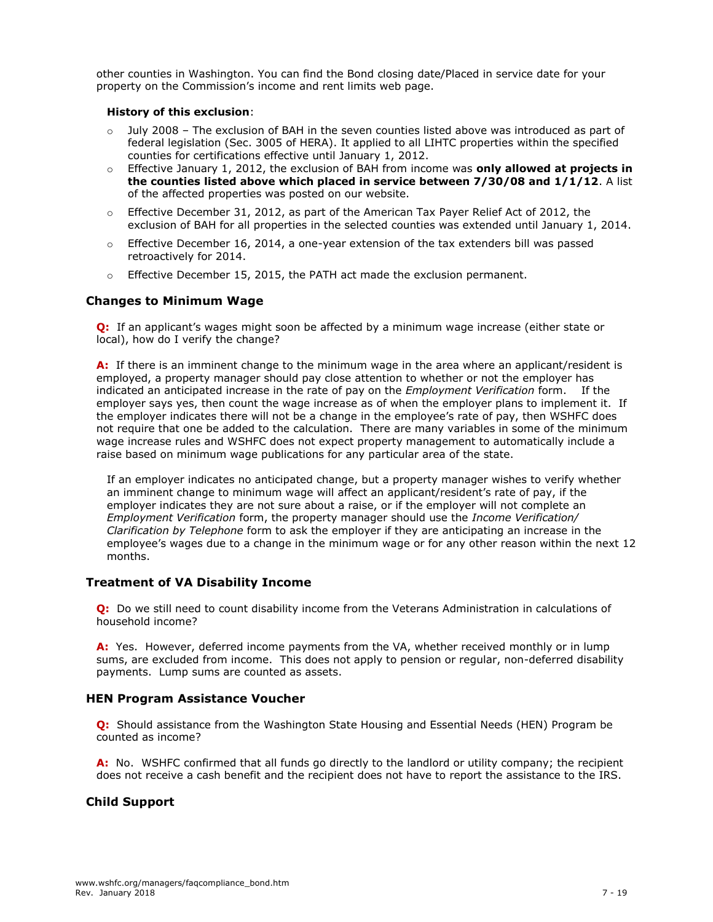other counties in Washington. You can find the Bond closing date/Placed in service date for your property on the Commission's income and rent limits web page.

#### **History of this exclusion**:

- $\circ$  July 2008 The exclusion of BAH in the seven counties listed above was introduced as part of federal legislation (Sec. 3005 of HERA). It applied to all LIHTC properties within the specified counties for certifications effective until January 1, 2012.
- o Effective January 1, 2012, the exclusion of BAH from income was **only allowed at projects in the counties listed above which placed in service between 7/30/08 and 1/1/12**. A list of the affected properties was posted on our website.
- $\circ$  Effective December 31, 2012, as part of the American Tax Payer Relief Act of 2012, the exclusion of BAH for all properties in the selected counties was extended until January 1, 2014.
- $\circ$  Effective December 16, 2014, a one-year extension of the tax extenders bill was passed retroactively for 2014.
- $\circ$  Effective December 15, 2015, the PATH act made the exclusion permanent.

# **Changes to Minimum Wage**

**Q:** If an applicant's wages might soon be affected by a minimum wage increase (either state or local), how do I verify the change?

**A:** If there is an imminent change to the minimum wage in the area where an applicant/resident is employed, a property manager should pay close attention to whether or not the employer has indicated an anticipated increase in the rate of pay on the *Employment Verification* form. If the employer says yes, then count the wage increase as of when the employer plans to implement it. If the employer indicates there will not be a change in the employee's rate of pay, then WSHFC does not require that one be added to the calculation. There are many variables in some of the minimum wage increase rules and WSHFC does not expect property management to automatically include a raise based on minimum wage publications for any particular area of the state.

If an employer indicates no anticipated change, but a property manager wishes to verify whether an imminent change to minimum wage will affect an applicant/resident's rate of pay, if the employer indicates they are not sure about a raise, or if the employer will not complete an *Employment Verification* form, the property manager should use the *Income Verification/ Clarification by Telephone* form to ask the employer if they are anticipating an increase in the employee's wages due to a change in the minimum wage or for any other reason within the next 12 months.

# **Treatment of VA Disability Income**

**Q:** Do we still need to count disability income from the Veterans Administration in calculations of household income?

**A:** Yes. However, deferred income payments from the VA, whether received monthly or in lump sums, are excluded from income. This does not apply to pension or regular, non-deferred disability payments. Lump sums are counted as assets.

#### **HEN Program Assistance Voucher**

**Q:** Should assistance from the Washington State Housing and Essential Needs (HEN) Program be counted as income?

**A:** No. WSHFC confirmed that all funds go directly to the landlord or utility company; the recipient does not receive a cash benefit and the recipient does not have to report the assistance to the IRS.

# **Child Support**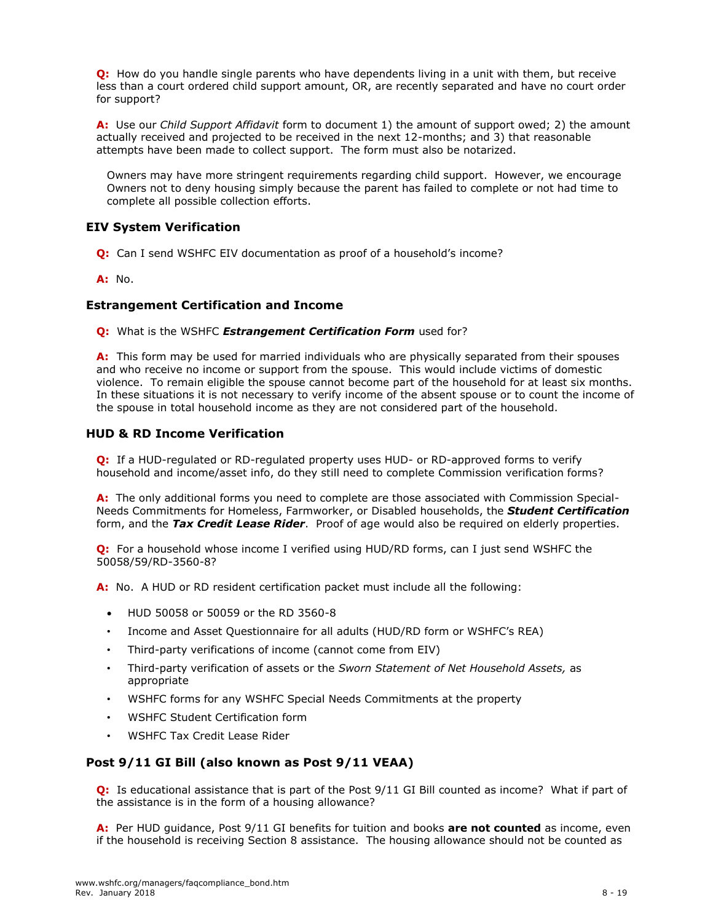**Q:** How do you handle single parents who have dependents living in a unit with them, but receive less than a court ordered child support amount, OR, are recently separated and have no court order for support?

**A:** Use our *Child Support Affidavit* form to document 1) the amount of support owed; 2) the amount actually received and projected to be received in the next 12-months; and 3) that reasonable attempts have been made to collect support. The form must also be notarized.

Owners may have more stringent requirements regarding child support. However, we encourage Owners not to deny housing simply because the parent has failed to complete or not had time to complete all possible collection efforts.

# **EIV System Verification**

**Q:** Can I send WSHFC EIV documentation as proof of a household's income?

**A:** No.

#### **Estrangement Certification and Income**

**Q:** What is the WSHFC *Estrangement Certification Form* used for?

**A:** This form may be used for married individuals who are physically separated from their spouses and who receive no income or support from the spouse. This would include victims of domestic violence. To remain eligible the spouse cannot become part of the household for at least six months. In these situations it is not necessary to verify income of the absent spouse or to count the income of the spouse in total household income as they are not considered part of the household.

#### **HUD & RD Income Verification**

**Q:** If a HUD-regulated or RD-regulated property uses HUD- or RD-approved forms to verify household and income/asset info, do they still need to complete Commission verification forms?

**A:** The only additional forms you need to complete are those associated with Commission Special-Needs Commitments for Homeless, Farmworker, or Disabled households, the *Student Certification*  form, and the *Tax Credit Lease Rider*. Proof of age would also be required on elderly properties.

**Q:** For a household whose income I verified using HUD/RD forms, can I just send WSHFC the 50058/59/RD-3560-8?

**A:** No. A HUD or RD resident certification packet must include all the following:

- HUD 50058 or 50059 or the RD 3560-8
- Income and Asset Questionnaire for all adults (HUD/RD form or WSHFC's REA)
- Third-party verifications of income (cannot come from EIV)
- Third-party verification of assets or the *Sworn Statement of Net Household Assets,* as appropriate
- WSHFC forms for any WSHFC Special Needs Commitments at the property
- WSHFC Student Certification form
- WSHFC Tax Credit Lease Rider

#### **Post 9/11 GI Bill (also known as Post 9/11 VEAA)**

**Q:** Is educational assistance that is part of the Post 9/11 GI Bill counted as income? What if part of the assistance is in the form of a housing allowance?

**A:** Per HUD guidance, Post 9/11 GI benefits for tuition and books **are not counted** as income, even if the household is receiving Section 8 assistance. The housing allowance should not be counted as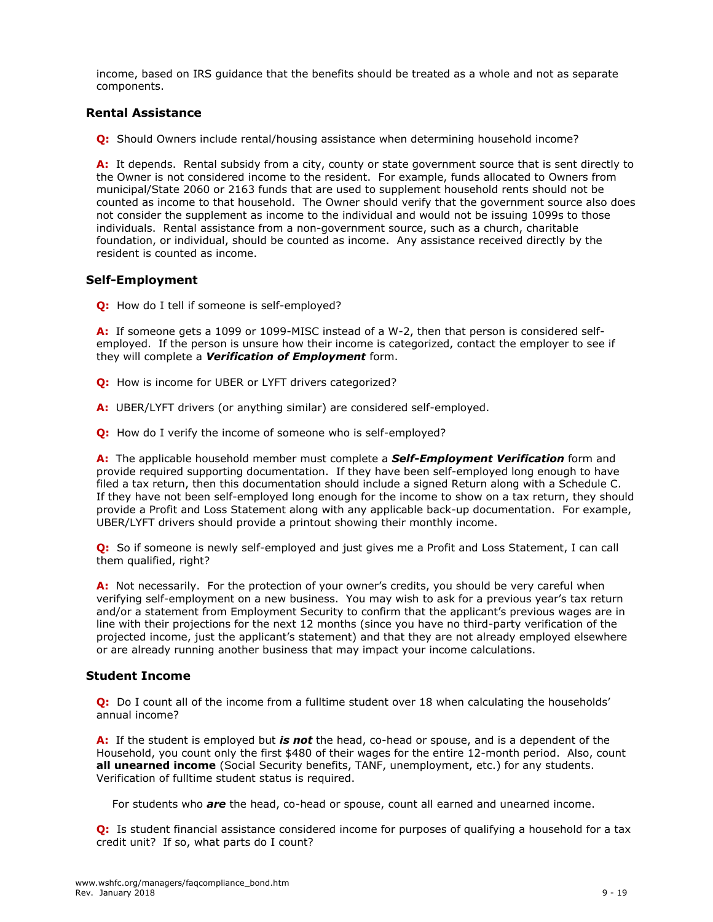income, based on IRS guidance that the benefits should be treated as a whole and not as separate components.

# **Rental Assistance**

**Q:** Should Owners include rental/housing assistance when determining household income?

A: It depends. Rental subsidy from a city, county or state government source that is sent directly to the Owner is not considered income to the resident. For example, funds allocated to Owners from municipal/State 2060 or 2163 funds that are used to supplement household rents should not be counted as income to that household. The Owner should verify that the government source also does not consider the supplement as income to the individual and would not be issuing 1099s to those individuals. Rental assistance from a non-government source, such as a church, charitable foundation, or individual, should be counted as income. Any assistance received directly by the resident is counted as income.

# **Self-Employment**

**Q:** How do I tell if someone is self-employed?

**A:** If someone gets a 1099 or 1099-MISC instead of a W-2, then that person is considered selfemployed. If the person is unsure how their income is categorized, contact the employer to see if they will complete a *Verification of Employment* form.

- **Q:** How is income for UBER or LYFT drivers categorized?
- **A:** UBER/LYFT drivers (or anything similar) are considered self-employed.
- **Q:** How do I verify the income of someone who is self-employed?

**A:** The applicable household member must complete a *Self-Employment Verification* form and provide required supporting documentation. If they have been self-employed long enough to have filed a tax return, then this documentation should include a signed Return along with a Schedule C. If they have not been self-employed long enough for the income to show on a tax return, they should provide a Profit and Loss Statement along with any applicable back-up documentation. For example, UBER/LYFT drivers should provide a printout showing their monthly income.

**Q:** So if someone is newly self-employed and just gives me a Profit and Loss Statement, I can call them qualified, right?

**A:** Not necessarily. For the protection of your owner's credits, you should be very careful when verifying self-employment on a new business. You may wish to ask for a previous year's tax return and/or a statement from Employment Security to confirm that the applicant's previous wages are in line with their projections for the next 12 months (since you have no third-party verification of the projected income, just the applicant's statement) and that they are not already employed elsewhere or are already running another business that may impact your income calculations.

#### **Student Income**

**Q:** Do I count all of the income from a fulltime student over 18 when calculating the households' annual income?

**A:** If the student is employed but *is not* the head, co-head or spouse, and is a dependent of the Household, you count only the first \$480 of their wages for the entire 12-month period. Also, count **all unearned income** (Social Security benefits, TANF, unemployment, etc.) for any students. Verification of fulltime student status is required.

For students who *are* the head, co-head or spouse, count all earned and unearned income.

**Q:** Is student financial assistance considered income for purposes of qualifying a household for a tax credit unit? If so, what parts do I count?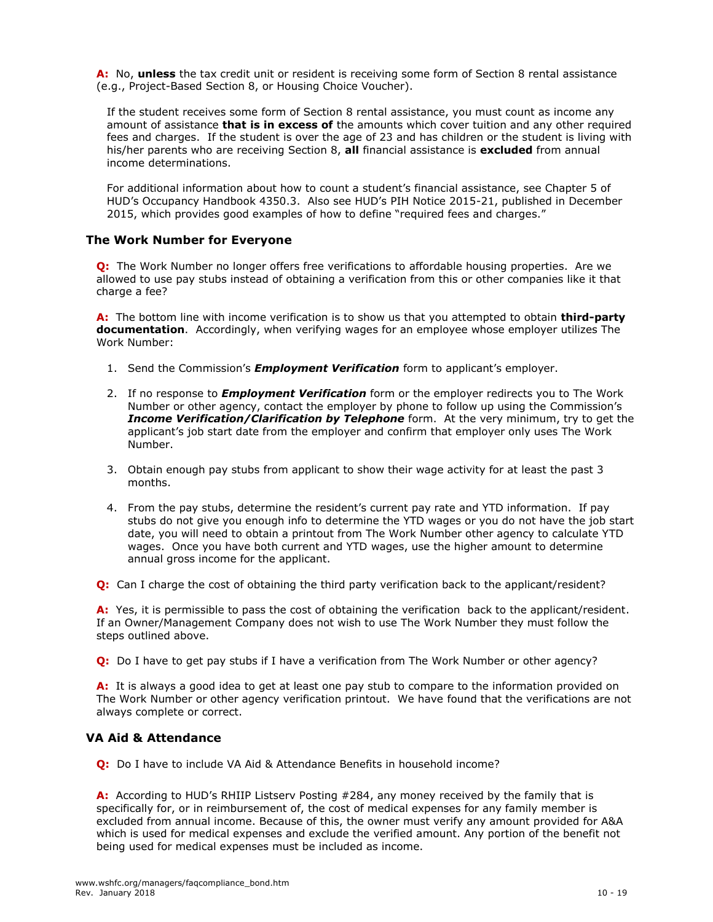**A:** No, **unless** the tax credit unit or resident is receiving some form of Section 8 rental assistance (e.g., Project-Based Section 8, or Housing Choice Voucher).

If the student receives some form of Section 8 rental assistance, you must count as income any amount of assistance **that is in excess of** the amounts which cover tuition and any other required fees and charges. If the student is over the age of 23 and has children or the student is living with his/her parents who are receiving Section 8, **all** financial assistance is **excluded** from annual income determinations.

For additional information about how to count a student's financial assistance, see Chapter 5 of HUD's Occupancy Handbook 4350.3. Also see HUD's PIH Notice 2015-21, published in December 2015, which provides good examples of how to define "required fees and charges."

# **The Work Number for Everyone**

**Q:** The Work Number no longer offers free verifications to affordable housing properties. Are we allowed to use pay stubs instead of obtaining a verification from this or other companies like it that charge a fee?

**A:** The bottom line with income verification is to show us that you attempted to obtain **third-party documentation**. Accordingly, when verifying wages for an employee whose employer utilizes The Work Number:

- 1. Send the Commission's *Employment Verification* form to applicant's employer.
- 2. If no response to *Employment Verification* form or the employer redirects you to The Work Number or other agency, contact the employer by phone to follow up using the Commission's *Income Verification/Clarification by Telephone* form. At the very minimum, try to get the applicant's job start date from the employer and confirm that employer only uses The Work Number.
- 3. Obtain enough pay stubs from applicant to show their wage activity for at least the past 3 months.
- 4. From the pay stubs, determine the resident's current pay rate and YTD information. If pay stubs do not give you enough info to determine the YTD wages or you do not have the job start date, you will need to obtain a printout from The Work Number other agency to calculate YTD wages. Once you have both current and YTD wages, use the higher amount to determine annual gross income for the applicant.

**Q:** Can I charge the cost of obtaining the third party verification back to the applicant/resident?

**A:** Yes, it is permissible to pass the cost of obtaining the verification back to the applicant/resident. If an Owner/Management Company does not wish to use The Work Number they must follow the steps outlined above.

**Q:** Do I have to get pay stubs if I have a verification from The Work Number or other agency?

**A:** It is always a good idea to get at least one pay stub to compare to the information provided on The Work Number or other agency verification printout. We have found that the verifications are not always complete or correct.

# **VA Aid & Attendance**

**Q:** Do I have to include VA Aid & Attendance Benefits in household income?

**A:** According to HUD's RHIIP Listserv Posting #284, any money received by the family that is specifically for, or in reimbursement of, the cost of medical expenses for any family member is excluded from annual income. Because of this, the owner must verify any amount provided for A&A which is used for medical expenses and exclude the verified amount. Any portion of the benefit not being used for medical expenses must be included as income.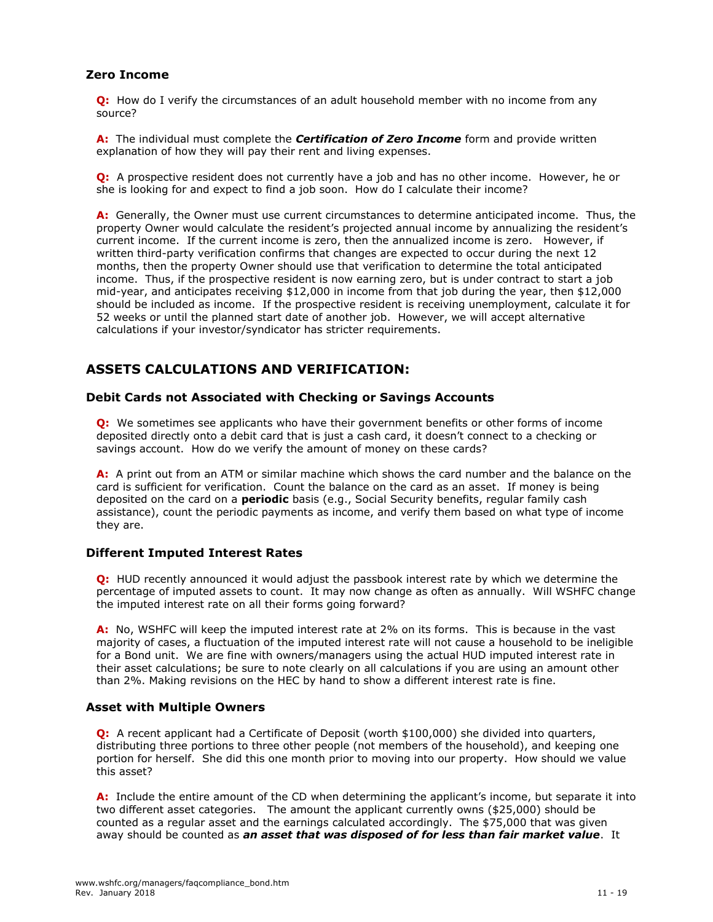# **Zero Income**

**Q:** How do I verify the circumstances of an adult household member with no income from any source?

**A:** The individual must complete the *Certification of Zero Income* form and provide written explanation of how they will pay their rent and living expenses.

**Q:** A prospective resident does not currently have a job and has no other income. However, he or she is looking for and expect to find a job soon. How do I calculate their income?

**A:** Generally, the Owner must use current circumstances to determine anticipated income. Thus, the property Owner would calculate the resident's projected annual income by annualizing the resident's current income. If the current income is zero, then the annualized income is zero. However, if written third-party verification confirms that changes are expected to occur during the next 12 months, then the property Owner should use that verification to determine the total anticipated income. Thus, if the prospective resident is now earning zero, but is under contract to start a job mid-year, and anticipates receiving \$12,000 in income from that job during the year, then \$12,000 should be included as income. If the prospective resident is receiving unemployment, calculate it for 52 weeks or until the planned start date of another job. However, we will accept alternative calculations if your investor/syndicator has stricter requirements.

# **ASSETS CALCULATIONS AND VERIFICATION:**

# **Debit Cards not Associated with Checking or Savings Accounts**

**Q:** We sometimes see applicants who have their government benefits or other forms of income deposited directly onto a debit card that is just a cash card, it doesn't connect to a checking or savings account. How do we verify the amount of money on these cards?

**A:** A print out from an ATM or similar machine which shows the card number and the balance on the card is sufficient for verification. Count the balance on the card as an asset. If money is being deposited on the card on a **periodic** basis (e.g., Social Security benefits, regular family cash assistance), count the periodic payments as income, and verify them based on what type of income they are.

#### **Different Imputed Interest Rates**

**Q:** HUD recently announced it would adjust the passbook interest rate by which we determine the percentage of imputed assets to count. It may now change as often as annually. Will WSHFC change the imputed interest rate on all their forms going forward?

**A:** No, WSHFC will keep the imputed interest rate at 2% on its forms. This is because in the vast majority of cases, a fluctuation of the imputed interest rate will not cause a household to be ineligible for a Bond unit. We are fine with owners/managers using the actual HUD imputed interest rate in their asset calculations; be sure to note clearly on all calculations if you are using an amount other than 2%. Making revisions on the HEC by hand to show a different interest rate is fine.

#### **Asset with Multiple Owners**

**Q:** A recent applicant had a Certificate of Deposit (worth \$100,000) she divided into quarters, distributing three portions to three other people (not members of the household), and keeping one portion for herself. She did this one month prior to moving into our property. How should we value this asset?

**A:** Include the entire amount of the CD when determining the applicant's income, but separate it into two different asset categories. The amount the applicant currently owns (\$25,000) should be counted as a regular asset and the earnings calculated accordingly. The \$75,000 that was given away should be counted as *an asset that was disposed of for less than fair market value*. It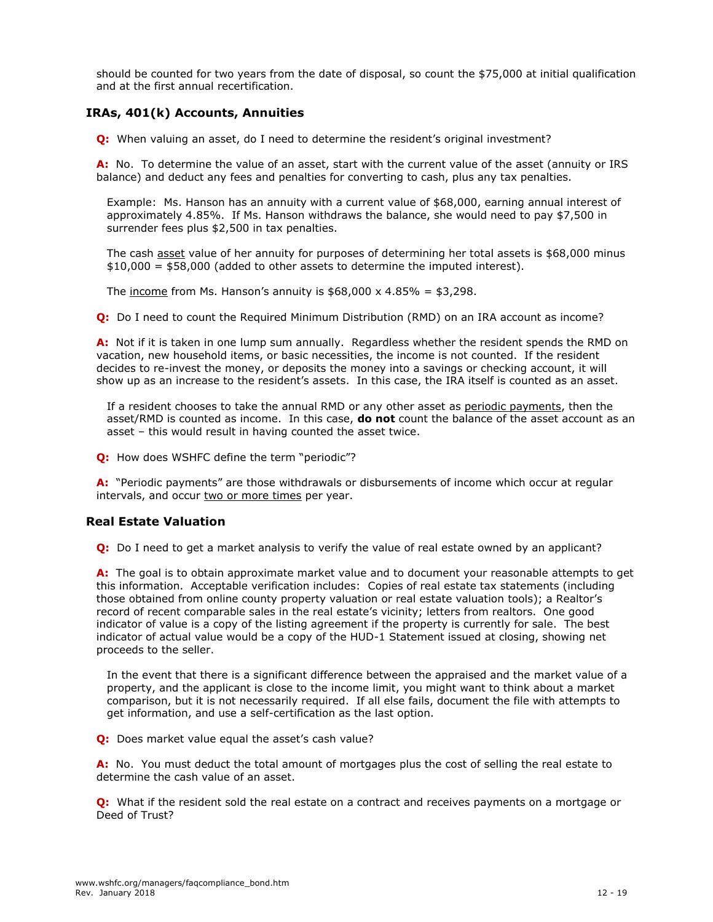should be counted for two years from the date of disposal, so count the \$75,000 at initial qualification and at the first annual recertification.

# **IRAs, 401(k) Accounts, Annuities**

**Q:** When valuing an asset, do I need to determine the resident's original investment?

**A:** No. To determine the value of an asset, start with the current value of the asset (annuity or IRS balance) and deduct any fees and penalties for converting to cash, plus any tax penalties.

Example: Ms. Hanson has an annuity with a current value of \$68,000, earning annual interest of approximately 4.85%. If Ms. Hanson withdraws the balance, she would need to pay \$7,500 in surrender fees plus \$2,500 in tax penalties.

The cash asset value of her annuity for purposes of determining her total assets is \$68,000 minus \$10,000 = \$58,000 (added to other assets to determine the imputed interest).

The income from Ms. Hanson's annuity is  $$68,000 \times 4.85\% = $3,298$ .

**Q:** Do I need to count the Required Minimum Distribution (RMD) on an IRA account as income?

**A:** Not if it is taken in one lump sum annually. Regardless whether the resident spends the RMD on vacation, new household items, or basic necessities, the income is not counted. If the resident decides to re-invest the money, or deposits the money into a savings or checking account, it will show up as an increase to the resident's assets. In this case, the IRA itself is counted as an asset.

If a resident chooses to take the annual RMD or any other asset as periodic payments, then the asset/RMD is counted as income. In this case, **do not** count the balance of the asset account as an asset – this would result in having counted the asset twice.

**Q:** How does WSHFC define the term "periodic"?

**A:** "Periodic payments" are those withdrawals or disbursements of income which occur at regular intervals, and occur two or more times per year.

# **Real Estate Valuation**

**Q:** Do I need to get a market analysis to verify the value of real estate owned by an applicant?

**A:** The goal is to obtain approximate market value and to document your reasonable attempts to get this information. Acceptable verification includes: Copies of real estate tax statements (including those obtained from online county property valuation or real estate valuation tools); a Realtor's record of recent comparable sales in the real estate's vicinity; letters from realtors. One good indicator of value is a copy of the listing agreement if the property is currently for sale. The best indicator of actual value would be a copy of the HUD-1 Statement issued at closing, showing net proceeds to the seller.

In the event that there is a significant difference between the appraised and the market value of a property, and the applicant is close to the income limit, you might want to think about a market comparison, but it is not necessarily required. If all else fails, document the file with attempts to get information, and use a self-certification as the last option.

**Q:** Does market value equal the asset's cash value?

**A:** No. You must deduct the total amount of mortgages plus the cost of selling the real estate to determine the cash value of an asset.

**Q:** What if the resident sold the real estate on a contract and receives payments on a mortgage or Deed of Trust?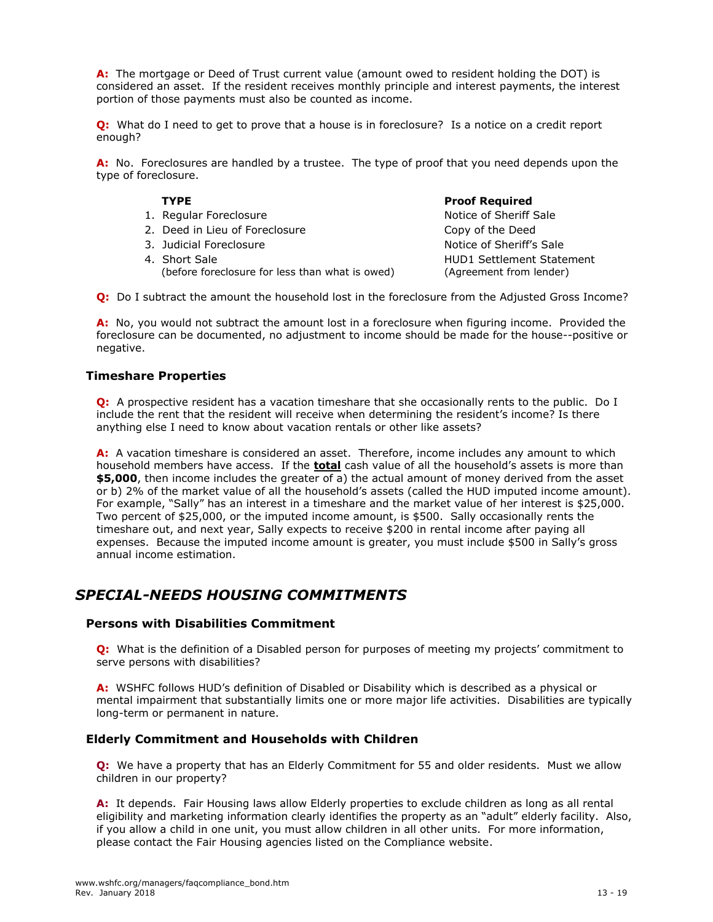**A:** The mortgage or Deed of Trust current value (amount owed to resident holding the DOT) is considered an asset. If the resident receives monthly principle and interest payments, the interest portion of those payments must also be counted as income.

**Q:** What do I need to get to prove that a house is in foreclosure? Is a notice on a credit report enough?

**A:** No. Foreclosures are handled by a trustee. The type of proof that you need depends upon the type of foreclosure.

- 1. Regular Foreclosure Notice of Sheriff Sale
- 2. Deed in Lieu of Foreclosure Copy of the Deed
- 3. Judicial Foreclosure Notice of Sheriff's Sale
- 4. Short Sale (before foreclosure for less than what is owed)

#### **TYPE Proof Required**

HUD1 Settlement Statement (Agreement from lender)

**Q:** Do I subtract the amount the household lost in the foreclosure from the Adjusted Gross Income?

**A:** No, you would not subtract the amount lost in a foreclosure when figuring income. Provided the foreclosure can be documented, no adjustment to income should be made for the house--positive or negative.

# **Timeshare Properties**

**Q:** A prospective resident has a vacation timeshare that she occasionally rents to the public. Do I include the rent that the resident will receive when determining the resident's income? Is there anything else I need to know about vacation rentals or other like assets?

**A:** A vacation timeshare is considered an asset. Therefore, income includes any amount to which household members have access. If the **total** cash value of all the household's assets is more than **\$5,000**, then income includes the greater of a) the actual amount of money derived from the asset or b) 2% of the market value of all the household's assets (called the HUD imputed income amount). For example, "Sally" has an interest in a timeshare and the market value of her interest is \$25,000. Two percent of \$25,000, or the imputed income amount, is \$500. Sally occasionally rents the timeshare out, and next year, Sally expects to receive \$200 in rental income after paying all expenses. Because the imputed income amount is greater, you must include \$500 in Sally's gross annual income estimation.

# *SPECIAL-NEEDS HOUSING COMMITMENTS*

#### **Persons with Disabilities Commitment**

**Q:** What is the definition of a Disabled person for purposes of meeting my projects' commitment to serve persons with disabilities?

**A:** WSHFC follows HUD's definition of Disabled or Disability which is described as a physical or mental impairment that substantially limits one or more major life activities. Disabilities are typically long-term or permanent in nature.

#### **Elderly Commitment and Households with Children**

**Q:** We have a property that has an Elderly Commitment for 55 and older residents. Must we allow children in our property?

**A:** It depends. Fair Housing laws allow Elderly properties to exclude children as long as all rental eligibility and marketing information clearly identifies the property as an "adult" elderly facility. Also, if you allow a child in one unit, you must allow children in all other units. For more information, please contact the Fair Housing agencies listed on the Compliance website.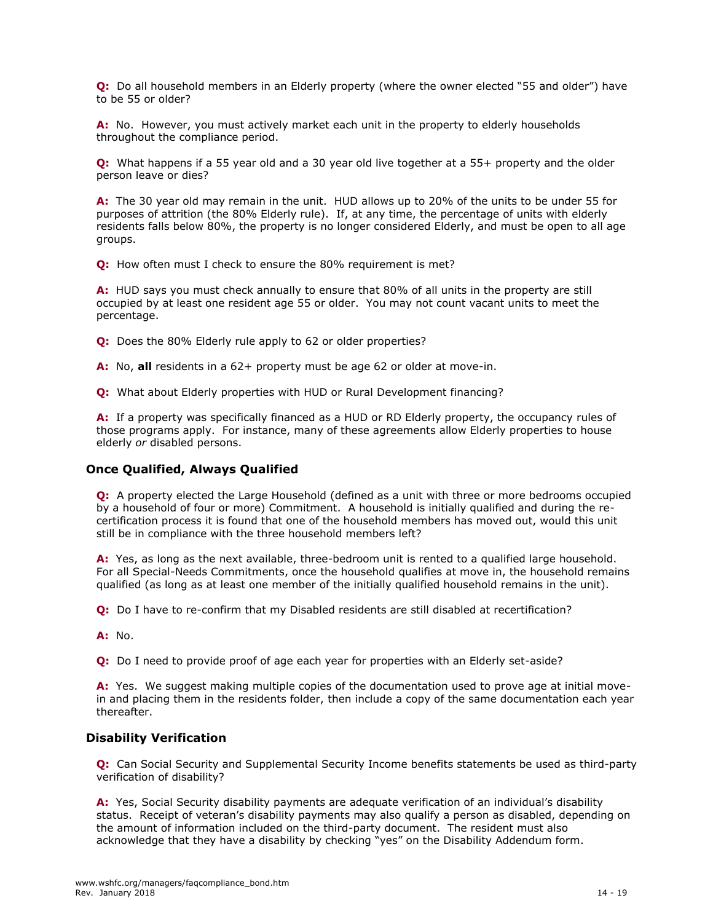**Q:** Do all household members in an Elderly property (where the owner elected "55 and older") have to be 55 or older?

**A:** No. However, you must actively market each unit in the property to elderly households throughout the compliance period.

**Q:** What happens if a 55 year old and a 30 year old live together at a 55+ property and the older person leave or dies?

**A:** The 30 year old may remain in the unit. HUD allows up to 20% of the units to be under 55 for purposes of attrition (the 80% Elderly rule). If, at any time, the percentage of units with elderly residents falls below 80%, the property is no longer considered Elderly, and must be open to all age groups.

**Q:** How often must I check to ensure the 80% requirement is met?

**A:** HUD says you must check annually to ensure that 80% of all units in the property are still occupied by at least one resident age 55 or older. You may not count vacant units to meet the percentage.

**Q:** Does the 80% Elderly rule apply to 62 or older properties?

**A:** No, **all** residents in a 62+ property must be age 62 or older at move-in.

**Q:** What about Elderly properties with HUD or Rural Development financing?

**A:** If a property was specifically financed as a HUD or RD Elderly property, the occupancy rules of those programs apply. For instance, many of these agreements allow Elderly properties to house elderly *or* disabled persons.

# **Once Qualified, Always Qualified**

**Q:** A property elected the Large Household (defined as a unit with three or more bedrooms occupied by a household of four or more) Commitment. A household is initially qualified and during the recertification process it is found that one of the household members has moved out, would this unit still be in compliance with the three household members left?

**A:** Yes, as long as the next available, three-bedroom unit is rented to a qualified large household. For all Special-Needs Commitments, once the household qualifies at move in, the household remains qualified (as long as at least one member of the initially qualified household remains in the unit).

**Q:** Do I have to re-confirm that my Disabled residents are still disabled at recertification?

**A:** No.

**Q:** Do I need to provide proof of age each year for properties with an Elderly set-aside?

**A:** Yes. We suggest making multiple copies of the documentation used to prove age at initial movein and placing them in the residents folder, then include a copy of the same documentation each year thereafter.

#### **Disability Verification**

**Q:** Can Social Security and Supplemental Security Income benefits statements be used as third-party verification of disability?

**A:** Yes, Social Security disability payments are adequate verification of an individual's disability status. Receipt of veteran's disability payments may also qualify a person as disabled, depending on the amount of information included on the third-party document. The resident must also acknowledge that they have a disability by checking "yes" on the Disability Addendum form.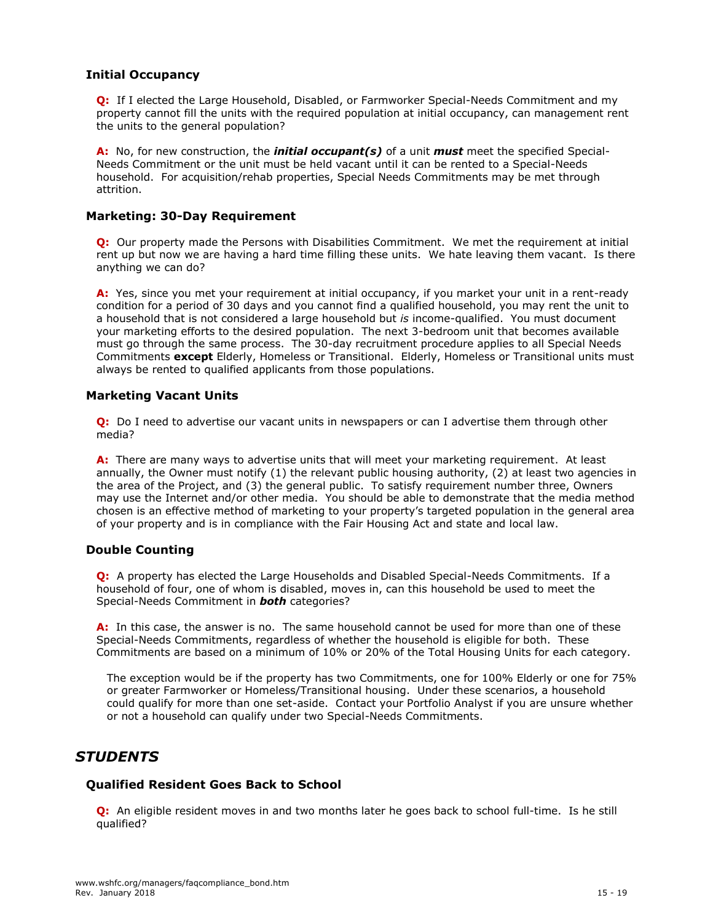# **Initial Occupancy**

**Q:** If I elected the Large Household, Disabled, or Farmworker Special-Needs Commitment and my property cannot fill the units with the required population at initial occupancy, can management rent the units to the general population?

**A:** No, for new construction, the *initial occupant(s)* of a unit *must* meet the specified Special-Needs Commitment or the unit must be held vacant until it can be rented to a Special-Needs household. For acquisition/rehab properties, Special Needs Commitments may be met through attrition.

# **Marketing: 30-Day Requirement**

**Q:** Our property made the Persons with Disabilities Commitment. We met the requirement at initial rent up but now we are having a hard time filling these units. We hate leaving them vacant. Is there anything we can do?

**A:** Yes, since you met your requirement at initial occupancy, if you market your unit in a rent-ready condition for a period of 30 days and you cannot find a qualified household, you may rent the unit to a household that is not considered a large household but *is* income-qualified. You must document your marketing efforts to the desired population. The next 3-bedroom unit that becomes available must go through the same process. The 30-day recruitment procedure applies to all Special Needs Commitments **except** Elderly, Homeless or Transitional. Elderly, Homeless or Transitional units must always be rented to qualified applicants from those populations.

# **Marketing Vacant Units**

**Q:** Do I need to advertise our vacant units in newspapers or can I advertise them through other media?

**A:** There are many ways to advertise units that will meet your marketing requirement. At least annually, the Owner must notify (1) the relevant public housing authority, (2) at least two agencies in the area of the Project, and (3) the general public. To satisfy requirement number three, Owners may use the Internet and/or other media. You should be able to demonstrate that the media method chosen is an effective method of marketing to your property's targeted population in the general area of your property and is in compliance with the Fair Housing Act and state and local law.

# **Double Counting**

**Q:** A property has elected the Large Households and Disabled Special-Needs Commitments. If a household of four, one of whom is disabled, moves in, can this household be used to meet the Special-Needs Commitment in *both* categories?

**A:** In this case, the answer is no. The same household cannot be used for more than one of these Special-Needs Commitments, regardless of whether the household is eligible for both. These Commitments are based on a minimum of 10% or 20% of the Total Housing Units for each category.

The exception would be if the property has two Commitments, one for 100% Elderly or one for 75% or greater Farmworker or Homeless/Transitional housing. Under these scenarios, a household could qualify for more than one set-aside. Contact your Portfolio Analyst if you are unsure whether or not a household can qualify under two Special-Needs Commitments.

# *STUDENTS*

# **Qualified Resident Goes Back to School**

**Q:** An eligible resident moves in and two months later he goes back to school full-time. Is he still qualified?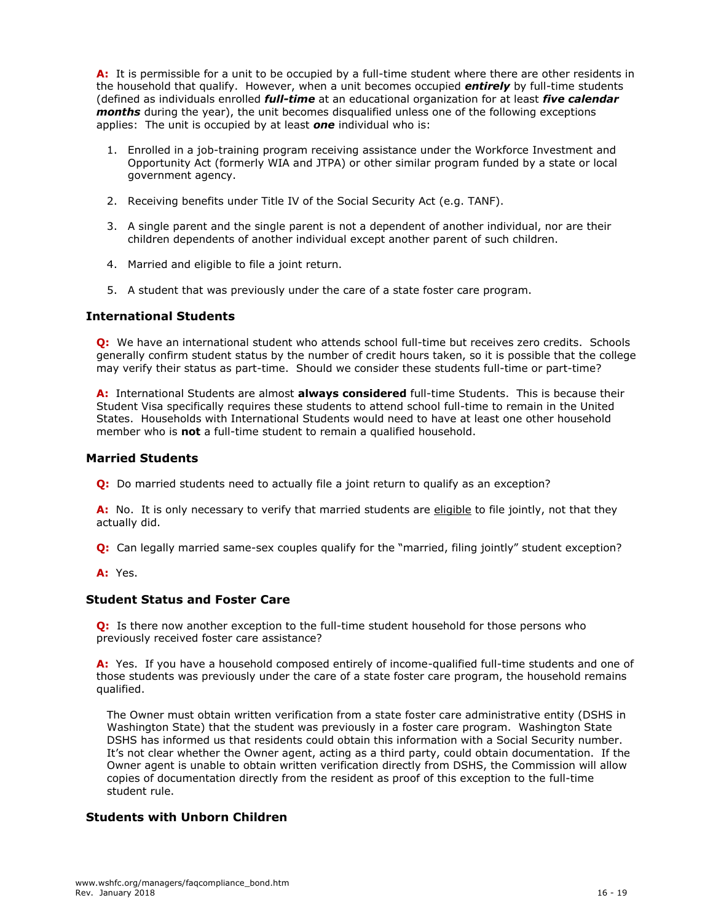**A:** It is permissible for a unit to be occupied by a full-time student where there are other residents in the household that qualify. However, when a unit becomes occupied *entirely* by full-time students (defined as individuals enrolled *full-time* at an educational organization for at least *five calendar months* during the year), the unit becomes disqualified unless one of the following exceptions applies: The unit is occupied by at least *one* individual who is:

- 1. Enrolled in a job-training program receiving assistance under the Workforce Investment and Opportunity Act (formerly WIA and JTPA) or other similar program funded by a state or local government agency.
- 2. Receiving benefits under Title IV of the Social Security Act (e.g. TANF).
- 3. A single parent and the single parent is not a dependent of another individual, nor are their children dependents of another individual except another parent of such children.
- 4. Married and eligible to file a joint return.
- 5. A student that was previously under the care of a state foster care program.

# **International Students**

**Q:** We have an international student who attends school full-time but receives zero credits. Schools generally confirm student status by the number of credit hours taken, so it is possible that the college may verify their status as part-time. Should we consider these students full-time or part-time?

**A:** International Students are almost **always considered** full-time Students. This is because their Student Visa specifically requires these students to attend school full-time to remain in the United States. Households with International Students would need to have at least one other household member who is **not** a full-time student to remain a qualified household.

# **Married Students**

**Q:** Do married students need to actually file a joint return to qualify as an exception?

**A:** No. It is only necessary to verify that married students are eligible to file jointly, not that they actually did.

**Q:** Can legally married same-sex couples qualify for the "married, filing jointly" student exception?

**A:** Yes.

# **Student Status and Foster Care**

**Q:** Is there now another exception to the full-time student household for those persons who previously received foster care assistance?

**A:** Yes. If you have a household composed entirely of income-qualified full-time students and one of those students was previously under the care of a state foster care program, the household remains qualified.

The Owner must obtain written verification from a state foster care administrative entity (DSHS in Washington State) that the student was previously in a foster care program. Washington State DSHS has informed us that residents could obtain this information with a Social Security number. It's not clear whether the Owner agent, acting as a third party, could obtain documentation. If the Owner agent is unable to obtain written verification directly from DSHS, the Commission will allow copies of documentation directly from the resident as proof of this exception to the full-time student rule.

# **Students with Unborn Children**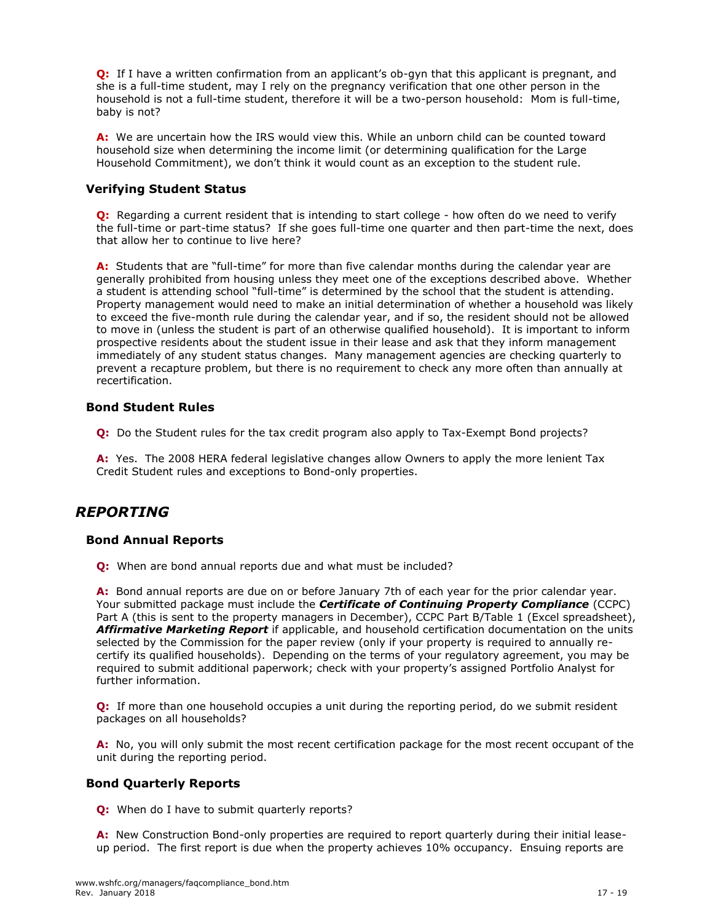**Q:** If I have a written confirmation from an applicant's ob-gyn that this applicant is pregnant, and she is a full-time student, may I rely on the pregnancy verification that one other person in the household is not a full-time student, therefore it will be a two-person household: Mom is full-time, baby is not?

**A:** We are uncertain how the IRS would view this. While an unborn child can be counted toward household size when determining the income limit (or determining qualification for the Large Household Commitment), we don't think it would count as an exception to the student rule.

# **Verifying Student Status**

**Q:** Regarding a current resident that is intending to start college - how often do we need to verify the full-time or part-time status? If she goes full-time one quarter and then part-time the next, does that allow her to continue to live here?

**A:** Students that are "full-time" for more than five calendar months during the calendar year are generally prohibited from housing unless they meet one of the exceptions described above. Whether a student is attending school "full-time" is determined by the school that the student is attending. Property management would need to make an initial determination of whether a household was likely to exceed the five-month rule during the calendar year, and if so, the resident should not be allowed to move in (unless the student is part of an otherwise qualified household). It is important to inform prospective residents about the student issue in their lease and ask that they inform management immediately of any student status changes. Many management agencies are checking quarterly to prevent a recapture problem, but there is no requirement to check any more often than annually at recertification.

# **Bond Student Rules**

**Q:** Do the Student rules for the tax credit program also apply to Tax-Exempt Bond projects?

**A:** Yes. The 2008 HERA federal legislative changes allow Owners to apply the more lenient Tax Credit Student rules and exceptions to Bond-only properties.

# *REPORTING*

#### **Bond Annual Reports**

**Q:** When are bond annual reports due and what must be included?

**A:** Bond annual reports are due on or before January 7th of each year for the prior calendar year. Your submitted package must include the *Certificate of Continuing Property Compliance* (CCPC) Part A (this is sent to the property managers in December), CCPC Part B/Table 1 (Excel spreadsheet), *Affirmative Marketing Report* if applicable, and household certification documentation on the units selected by the Commission for the paper review (only if your property is required to annually recertify its qualified households). Depending on the terms of your regulatory agreement, you may be required to submit additional paperwork; check with your property's assigned Portfolio Analyst for further information.

**Q:** If more than one household occupies a unit during the reporting period, do we submit resident packages on all households?

**A:** No, you will only submit the most recent certification package for the most recent occupant of the unit during the reporting period.

#### **Bond Quarterly Reports**

**Q:** When do I have to submit quarterly reports?

**A:** New Construction Bond-only properties are required to report quarterly during their initial leaseup period. The first report is due when the property achieves 10% occupancy. Ensuing reports are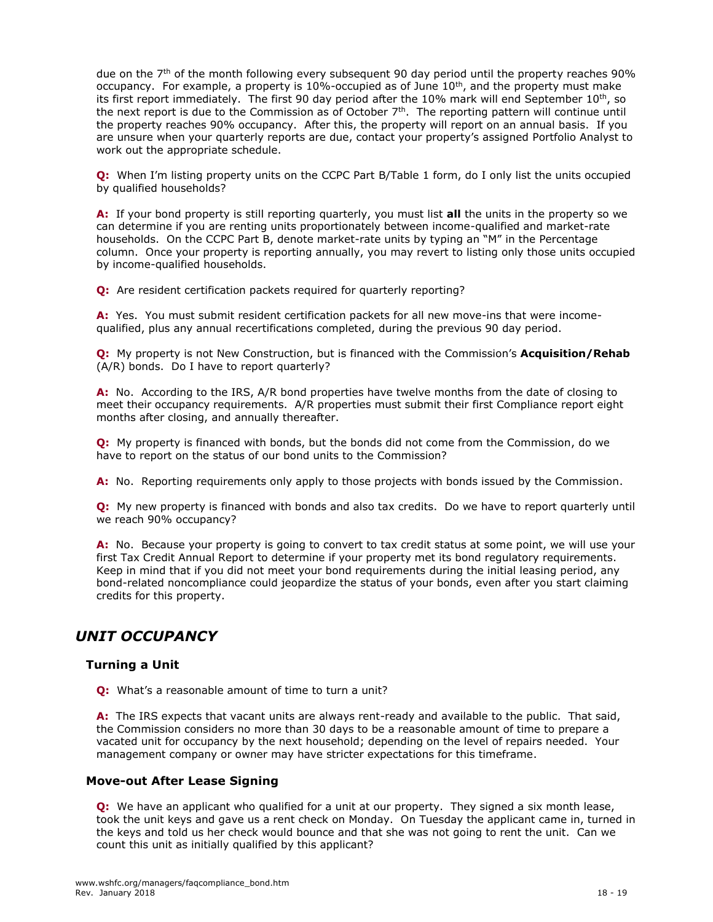due on the  $7<sup>th</sup>$  of the month following every subsequent 90 day period until the property reaches 90% occupancy. For example, a property is  $10\%$ -occupied as of June  $10<sup>th</sup>$ , and the property must make its first report immediately. The first 90 day period after the 10% mark will end September  $10<sup>th</sup>$ , so the next report is due to the Commission as of October 7th. The reporting pattern will continue until the property reaches 90% occupancy. After this, the property will report on an annual basis. If you are unsure when your quarterly reports are due, contact your property's assigned Portfolio Analyst to work out the appropriate schedule.

**Q:** When I'm listing property units on the CCPC Part B/Table 1 form, do I only list the units occupied by qualified households?

**A:** If your bond property is still reporting quarterly, you must list **all** the units in the property so we can determine if you are renting units proportionately between income-qualified and market-rate households. On the CCPC Part B, denote market-rate units by typing an "M" in the Percentage column. Once your property is reporting annually, you may revert to listing only those units occupied by income-qualified households.

**Q:** Are resident certification packets required for quarterly reporting?

**A:** Yes. You must submit resident certification packets for all new move-ins that were incomequalified, plus any annual recertifications completed, during the previous 90 day period.

**Q:** My property is not New Construction, but is financed with the Commission's **Acquisition/Rehab** (A/R) bonds. Do I have to report quarterly?

**A:** No. According to the IRS, A/R bond properties have twelve months from the date of closing to meet their occupancy requirements. A/R properties must submit their first Compliance report eight months after closing, and annually thereafter.

**Q:** My property is financed with bonds, but the bonds did not come from the Commission, do we have to report on the status of our bond units to the Commission?

**A:** No. Reporting requirements only apply to those projects with bonds issued by the Commission.

**Q:** My new property is financed with bonds and also tax credits. Do we have to report quarterly until we reach 90% occupancy?

**A:** No. Because your property is going to convert to tax credit status at some point, we will use your first Tax Credit Annual Report to determine if your property met its bond regulatory requirements. Keep in mind that if you did not meet your bond requirements during the initial leasing period, any bond-related noncompliance could jeopardize the status of your bonds, even after you start claiming credits for this property.

# *UNIT OCCUPANCY*

# **Turning a Unit**

**Q:** What's a reasonable amount of time to turn a unit?

**A:** The IRS expects that vacant units are always rent-ready and available to the public. That said, the Commission considers no more than 30 days to be a reasonable amount of time to prepare a vacated unit for occupancy by the next household; depending on the level of repairs needed. Your management company or owner may have stricter expectations for this timeframe.

#### **Move-out After Lease Signing**

**Q:** We have an applicant who qualified for a unit at our property. They signed a six month lease, took the unit keys and gave us a rent check on Monday. On Tuesday the applicant came in, turned in the keys and told us her check would bounce and that she was not going to rent the unit. Can we count this unit as initially qualified by this applicant?